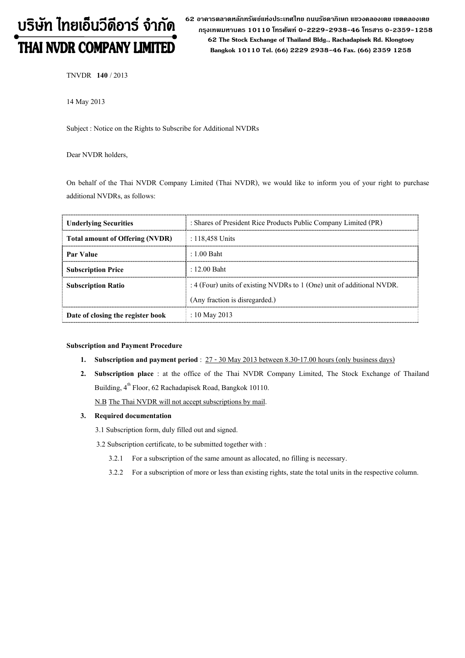# บริษัท ไทยเอ็นวีดีอาร์ จำกัด THAI NVDR COMPANY LIMITED

62 อาดารตลาดหลักทรัพย์แห่งประเทศไทย ถนนรัซดาภิเษก แขวงดลองเตย เขตดลองเตย กรุงเทพมหานดร 10110 โทรศัพท์ 0-2229-2938-46 โทรสาร 0-2359-1258 62 The Stock Exchange of Thailand Bldg., Rachadapisek Rd. Klongtoey Bangkok 10110 Tel. (66) 2229 2938-46 Fax. (66) 2359 1258

TNVDR 140 / 2013

14 May 2013

Subject : Notice on the Rights to Subscribe for Additional NVDRs

Dear NVDR holders,

On behalf of the Thai NVDR Company Limited (Thai NVDR), we would like to inform you of your right to purchase additional NVDRs, as follows:

| <b>Underlying Securities</b>           | : Shares of President Rice Products Public Company Limited (PR)        |  |
|----------------------------------------|------------------------------------------------------------------------|--|
| <b>Total amount of Offering (NVDR)</b> | : 118,458 Units                                                        |  |
| <b>Par Value</b>                       | $: 1.00$ Baht                                                          |  |
| <b>Subscription Price</b>              | $: 12.00$ Baht                                                         |  |
| <b>Subscription Ratio</b>              | : 4 (Four) units of existing NVDRs to 1 (One) unit of additional NVDR. |  |
|                                        | (Any fraction is disregarded.)                                         |  |
| Date of closing the register book      | : 10 May 2013                                                          |  |

#### Subscription and Payment Procedure

- 1. Subscription and payment period :  $27 30$  May 2013 between 8.30-17.00 hours (only business days)
- 2. Subscription place : at the office of the Thai NVDR Company Limited, The Stock Exchange of Thailand Building, 4<sup>th</sup> Floor, 62 Rachadapisek Road, Bangkok 10110.

N.B The Thai NVDR will not accept subscriptions by mail.

#### 3. Required documentation

3.1 Subscription form, duly filled out and signed.

3.2 Subscription certificate, to be submitted together with :

- 3.2.1 For a subscription of the same amount as allocated, no filling is necessary.
- 3.2.2 For a subscription of more or less than existing rights, state the total units in the respective column.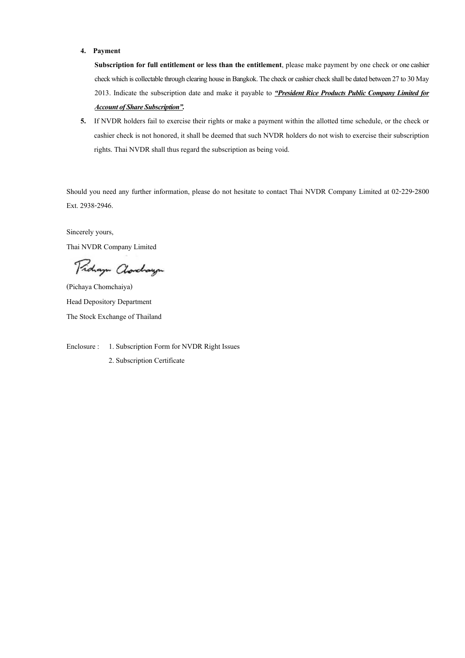### 4. Payment

Subscription for full entitlement or less than the entitlement, please make payment by one check or one cashier check which is collectable through clearing house in Bangkok. The check or cashier check shall be dated between 27 to 30 May 2013. Indicate the subscription date and make it payable to "President Rice Products Public Company Limited for **Account of Share Subscription".** 

5. If NVDR holders fail to exercise their rights or make a payment within the allotted time schedule, or the check or cashier check is not honored, it shall be deemed that such NVDR holders do not wish to exercise their subscription rights. Thai NVDR shall thus regard the subscription as being void.

Should you need any further information, please do not hesitate to contact Thai NVDR Company Limited at 02-229-2800 Ext. 2938-2946.

Sincerely yours, Thai NVDR Company Limited

Pridaya Clarchaya

(Pichaya Chomchaiya) Head Depository Department The Stock Exchange of Thailand

Enclosure : 1. Subscription Form for NVDR Right Issues

2. Subscription Certificate